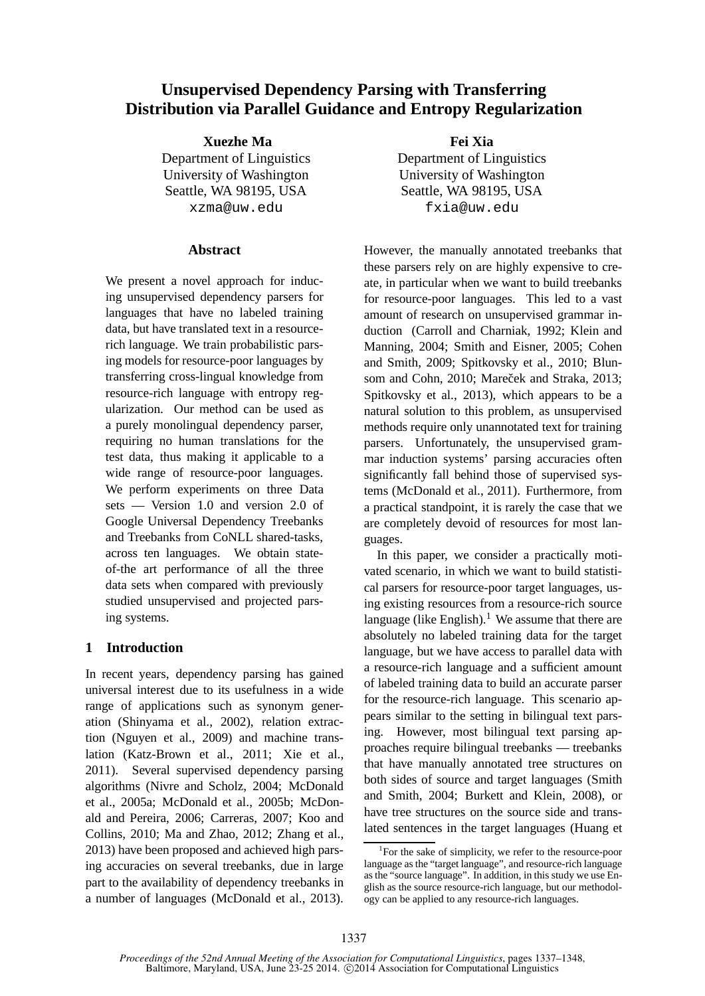# **Unsupervised Dependency Parsing with Transferring Distribution via Parallel Guidance and Entropy Regularization**

**Xuezhe Ma** Department of Linguistics University of Washington Seattle, WA 98195, USA xzma@uw.edu

## **Abstract**

We present a novel approach for inducing unsupervised dependency parsers for languages that have no labeled training data, but have translated text in a resourcerich language. We train probabilistic parsing models for resource-poor languages by transferring cross-lingual knowledge from resource-rich language with entropy regularization. Our method can be used as a purely monolingual dependency parser, requiring no human translations for the test data, thus making it applicable to a wide range of resource-poor languages. We perform experiments on three Data sets — Version 1.0 and version 2.0 of Google Universal Dependency Treebanks and Treebanks from CoNLL shared-tasks, across ten languages. We obtain stateof-the art performance of all the three data sets when compared with previously studied unsupervised and projected parsing systems.

## **1 Introduction**

In recent years, dependency parsing has gained universal interest due to its usefulness in a wide range of applications such as synonym generation (Shinyama et al., 2002), relation extraction (Nguyen et al., 2009) and machine translation (Katz-Brown et al., 2011; Xie et al., 2011). Several supervised dependency parsing algorithms (Nivre and Scholz, 2004; McDonald et al., 2005a; McDonald et al., 2005b; McDonald and Pereira, 2006; Carreras, 2007; Koo and Collins, 2010; Ma and Zhao, 2012; Zhang et al., 2013) have been proposed and achieved high parsing accuracies on several treebanks, due in large part to the availability of dependency treebanks in a number of languages (McDonald et al., 2013).

**Fei Xia** Department of Linguistics University of Washington Seattle, WA 98195, USA fxia@uw.edu

However, the manually annotated treebanks that these parsers rely on are highly expensive to create, in particular when we want to build treebanks for resource-poor languages. This led to a vast amount of research on unsupervised grammar induction (Carroll and Charniak, 1992; Klein and Manning, 2004; Smith and Eisner, 2005; Cohen and Smith, 2009; Spitkovsky et al., 2010; Blunsom and Cohn, 2010; Mareček and Straka, 2013; Spitkovsky et al., 2013), which appears to be a natural solution to this problem, as unsupervised methods require only unannotated text for training parsers. Unfortunately, the unsupervised grammar induction systems' parsing accuracies often significantly fall behind those of supervised systems (McDonald et al., 2011). Furthermore, from a practical standpoint, it is rarely the case that we are completely devoid of resources for most languages.

In this paper, we consider a practically motivated scenario, in which we want to build statistical parsers for resource-poor target languages, using existing resources from a resource-rich source language (like English).<sup>1</sup> We assume that there are absolutely no labeled training data for the target language, but we have access to parallel data with a resource-rich language and a sufficient amount of labeled training data to build an accurate parser for the resource-rich language. This scenario appears similar to the setting in bilingual text parsing. However, most bilingual text parsing approaches require bilingual treebanks — treebanks that have manually annotated tree structures on both sides of source and target languages (Smith and Smith, 2004; Burkett and Klein, 2008), or have tree structures on the source side and translated sentences in the target languages (Huang et

<sup>1</sup> For the sake of simplicity, we refer to the resource-poor language as the "target language", and resource-rich language as the "source language". In addition, in this study we use English as the source resource-rich language, but our methodology can be applied to any resource-rich languages.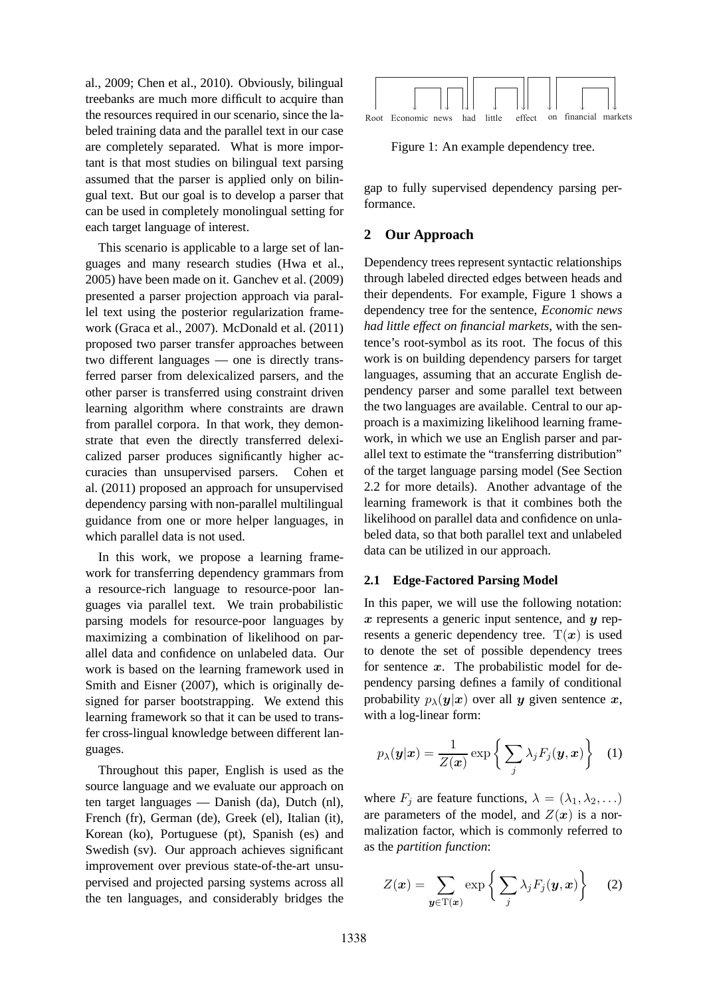al., 2009; Chen et al., 2010). Obviously, bilingual treebanks are much more difficult to acquire than the resources required in our scenario, since the labeled training data and the parallel text in our case are completely separated. What is more important is that most studies on bilingual text parsing assumed that the parser is applied only on bilingual text. But our goal is to develop a parser that can be used in completely monolingual setting for each target language of interest.

This scenario is applicable to a large set of languages and many research studies (Hwa et al., 2005) have been made on it. Ganchev et al. (2009) presented a parser projection approach via parallel text using the posterior regularization framework (Graca et al., 2007). McDonald et al. (2011) proposed two parser transfer approaches between two different languages — one is directly transferred parser from delexicalized parsers, and the other parser is transferred using constraint driven learning algorithm where constraints are drawn from parallel corpora. In that work, they demonstrate that even the directly transferred delexicalized parser produces significantly higher accuracies than unsupervised parsers. Cohen et al. (2011) proposed an approach for unsupervised dependency parsing with non-parallel multilingual guidance from one or more helper languages, in which parallel data is not used.

In this work, we propose a learning framework for transferring dependency grammars from a resource-rich language to resource-poor languages via parallel text. We train probabilistic parsing models for resource-poor languages by maximizing a combination of likelihood on parallel data and confidence on unlabeled data. Our work is based on the learning framework used in Smith and Eisner (2007), which is originally designed for parser bootstrapping. We extend this learning framework so that it can be used to transfer cross-lingual knowledge between different languages.

Throughout this paper, English is used as the source language and we evaluate our approach on ten target languages — Danish (da), Dutch (nl), French (fr), German (de), Greek (el), Italian (it), Korean (ko), Portuguese (pt), Spanish (es) and Swedish (sv). Our approach achieves significant improvement over previous state-of-the-art unsupervised and projected parsing systems across all the ten languages, and considerably bridges the



Figure 1: An example dependency tree.

gap to fully supervised dependency parsing performance.

## **2 Our Approach**

Dependency trees represent syntactic relationships through labeled directed edges between heads and their dependents. For example, Figure 1 shows a dependency tree for the sentence, *Economic news had little effect on financial markets*, with the sentence's root-symbol as its root. The focus of this work is on building dependency parsers for target languages, assuming that an accurate English dependency parser and some parallel text between the two languages are available. Central to our approach is a maximizing likelihood learning framework, in which we use an English parser and parallel text to estimate the "transferring distribution" of the target language parsing model (See Section 2.2 for more details). Another advantage of the learning framework is that it combines both the likelihood on parallel data and confidence on unlabeled data, so that both parallel text and unlabeled data can be utilized in our approach.

## **2.1 Edge-Factored Parsing Model**

In this paper, we will use the following notation:  $x$  represents a generic input sentence, and  $y$  represents a generic dependency tree.  $T(x)$  is used to denote the set of possible dependency trees for sentence  $x$ . The probabilistic model for dependency parsing defines a family of conditional probability  $p_{\lambda}(\mathbf{y}|\mathbf{x})$  over all y given sentence x, with a log-linear form:

$$
p_{\lambda}(\boldsymbol{y}|\boldsymbol{x}) = \frac{1}{Z(\boldsymbol{x})} \exp \left\{ \sum_{j} \lambda_{j} F_{j}(\boldsymbol{y}, \boldsymbol{x}) \right\} \quad (1)
$$

where  $F_i$  are feature functions,  $\lambda = (\lambda_1, \lambda_2, \ldots)$ are parameters of the model, and  $Z(x)$  is a normalization factor, which is commonly referred to as the *partition function*:

$$
Z(\boldsymbol{x}) = \sum_{\boldsymbol{y} \in \mathrm{T}(\boldsymbol{x})} \exp \left\{ \sum_j \lambda_j F_j(\boldsymbol{y}, \boldsymbol{x}) \right\} \qquad (2)
$$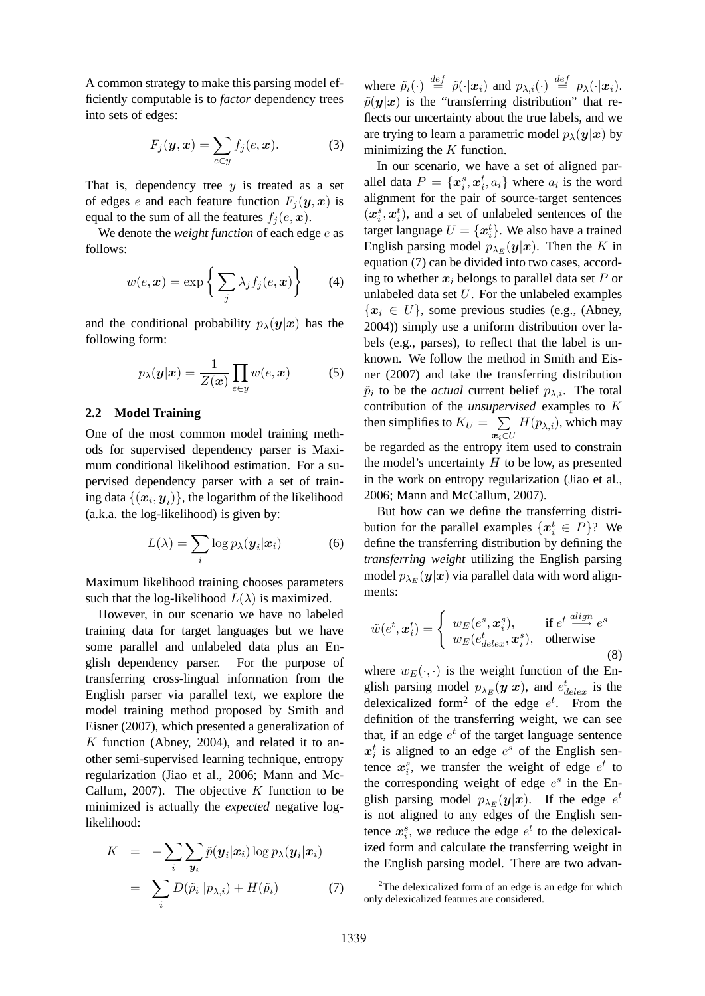A common strategy to make this parsing model efficiently computable is to *factor* dependency trees into sets of edges:

$$
F_j(\mathbf{y}, \mathbf{x}) = \sum_{e \in \mathbf{y}} f_j(e, \mathbf{x}). \tag{3}
$$

That is, dependency tree  $y$  is treated as a set of edges e and each feature function  $F_i(\mathbf{y},\mathbf{x})$  is equal to the sum of all the features  $f_i(e, x)$ .

We denote the *weight function* of each edge e as follows:

$$
w(e, \boldsymbol{x}) = \exp\left\{\sum_j \lambda_j f_j(e, \boldsymbol{x})\right\} \qquad (4)
$$

and the conditional probability  $p_{\lambda}(\mathbf{y}|\mathbf{x})$  has the following form:

$$
p_{\lambda}(\boldsymbol{y}|\boldsymbol{x}) = \frac{1}{Z(\boldsymbol{x})} \prod_{e \in y} w(e, \boldsymbol{x}) \tag{5}
$$

#### **2.2 Model Training**

One of the most common model training methods for supervised dependency parser is Maximum conditional likelihood estimation. For a supervised dependency parser with a set of training data  $\{(\boldsymbol{x}_i, \boldsymbol{y}_i)\}$ , the logarithm of the likelihood (a.k.a. the log-likelihood) is given by:

$$
L(\lambda) = \sum_{i} \log p_{\lambda}(\boldsymbol{y}_{i}|\boldsymbol{x}_{i})
$$
 (6)

Maximum likelihood training chooses parameters such that the log-likelihood  $L(\lambda)$  is maximized.

However, in our scenario we have no labeled training data for target languages but we have some parallel and unlabeled data plus an English dependency parser. For the purpose of transferring cross-lingual information from the English parser via parallel text, we explore the model training method proposed by Smith and Eisner (2007), which presented a generalization of  $K$  function (Abney, 2004), and related it to another semi-supervised learning technique, entropy regularization (Jiao et al., 2006; Mann and Mc-Callum, 2007). The objective  $K$  function to be minimized is actually the *expected* negative loglikelihood:

$$
K = -\sum_{i} \sum_{\boldsymbol{y}_i} \tilde{p}(\boldsymbol{y}_i | \boldsymbol{x}_i) \log p_{\lambda}(\boldsymbol{y}_i | \boldsymbol{x}_i)
$$

$$
= \sum_{i} D(\tilde{p}_i || p_{\lambda, i}) + H(\tilde{p}_i) \tag{7}
$$

where  $\tilde{p}_i(\cdot) \stackrel{def}{=} \tilde{p}(\cdot | \boldsymbol{x}_i)$  and  $p_{\lambda,i}(\cdot) \stackrel{def}{=} p_{\lambda}(\cdot | \boldsymbol{x}_i)$ .  $\tilde{p}(\mathbf{y}|\mathbf{x})$  is the "transferring distribution" that reflects our uncertainty about the true labels, and we are trying to learn a parametric model  $p_{\lambda}(\mathbf{y}|\mathbf{x})$  by minimizing the  $K$  function.

In our scenario, we have a set of aligned parallel data  $P = \{x_i^s, x_i^t, a_i\}$  where  $a_i$  is the word alignment for the pair of source-target sentences  $(x_i^s, x_i^t)$ , and a set of unlabeled sentences of the target language  $U = \{x_i^t\}$ . We also have a trained English parsing model  $p_{\lambda_E}(\mathbf{y}|\mathbf{x})$ . Then the K in equation (7) can be divided into two cases, according to whether  $x_i$  belongs to parallel data set P or unlabeled data set  $U$ . For the unlabeled examples  ${x_i \in U}$ , some previous studies (e.g., (Abney, 2004)) simply use a uniform distribution over labels (e.g., parses), to reflect that the label is unknown. We follow the method in Smith and Eisner (2007) and take the transferring distribution  $\tilde{p}_i$  to be the *actual* current belief  $p_{\lambda,i}$ . The total contribution of the *unsupervised* examples to K then simplifies to  $K_U = \sum$  $\bm{x}_i{\in}U$  $H(p_{\lambda,i})$ , which may be regarded as the entropy item used to constrain the model's uncertainty  $H$  to be low, as presented in the work on entropy regularization (Jiao et al., 2006; Mann and McCallum, 2007).

But how can we define the transferring distribution for the parallel examples  $\{x_i^t \in P\}$ ? We define the transferring distribution by defining the *transferring weight* utilizing the English parsing model  $p_{\lambda_E}(\bm{y}|\bm{x})$  via parallel data with word alignments:

$$
\tilde{w}(e^t, \mathbf{x}_i^t) = \begin{cases} w_E(e^s, \mathbf{x}_i^s), & \text{if } e^t \stackrel{align}{\longrightarrow} e^s \\ w_E(e_{\text{delex}}^t, \mathbf{x}_i^s), & \text{otherwise} \end{cases}
$$
(8)

where  $w_E(\cdot, \cdot)$  is the weight function of the English parsing model  $p_{\lambda_E}(\mathbf{y}|\mathbf{x})$ , and  $e_{delex}^t$  is the delexicalized form<sup>2</sup> of the edge  $e^t$ . From the definition of the transferring weight, we can see that, if an edge  $e^t$  of the target language sentence  $x_i^t$  is aligned to an edge  $e^s$  of the English sentence  $x_i^s$ , we transfer the weight of edge  $e^t$  to the corresponding weight of edge  $e^s$  in the English parsing model  $p_{\lambda_E}(\mathbf{y}|\mathbf{x})$ . If the edge  $e^t$ is not aligned to any edges of the English sentence  $x_i^s$ , we reduce the edge  $e^t$  to the delexicalized form and calculate the transferring weight in the English parsing model. There are two advan-

 $2$ The delexicalized form of an edge is an edge for which only delexicalized features are considered.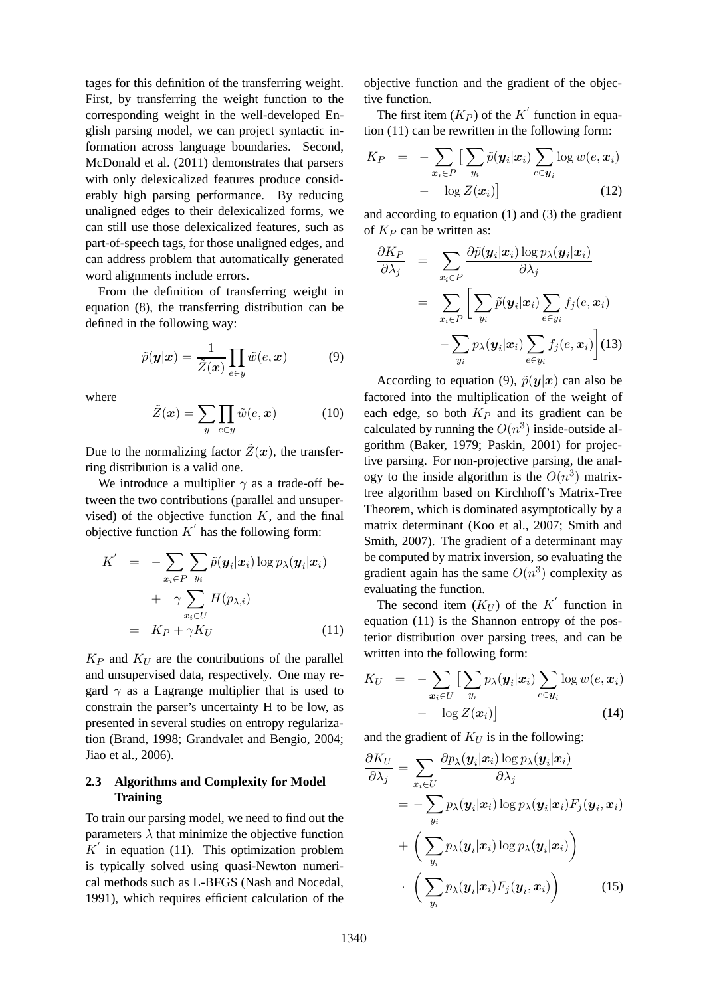tages for this definition of the transferring weight. First, by transferring the weight function to the corresponding weight in the well-developed English parsing model, we can project syntactic information across language boundaries. Second, McDonald et al. (2011) demonstrates that parsers with only delexicalized features produce considerably high parsing performance. By reducing unaligned edges to their delexicalized forms, we can still use those delexicalized features, such as part-of-speech tags, for those unaligned edges, and can address problem that automatically generated word alignments include errors.

From the definition of transferring weight in equation (8), the transferring distribution can be defined in the following way:

$$
\tilde{p}(\mathbf{y}|\mathbf{x}) = \frac{1}{\tilde{Z}(\mathbf{x})} \prod_{e \in y} \tilde{w}(e, \mathbf{x})
$$
\n(9)

where

$$
\tilde{Z}(\boldsymbol{x}) = \sum_{y} \prod_{e \in y} \tilde{w}(e, \boldsymbol{x}) \tag{10}
$$

Due to the normalizing factor  $\tilde{Z}(\boldsymbol{x})$ , the transferring distribution is a valid one.

We introduce a multiplier  $\gamma$  as a trade-off between the two contributions (parallel and unsupervised) of the objective function  $K$ , and the final objective function  $K'$  has the following form:

$$
K' = -\sum_{x_i \in P} \sum_{y_i} \tilde{p}(\mathbf{y}_i | \mathbf{x}_i) \log p_\lambda(\mathbf{y}_i | \mathbf{x}_i)
$$
  
+  $\gamma \sum_{x_i \in U} H(p_{\lambda,i})$   
=  $K_P + \gamma K_U$  (11)

 $K_P$  and  $K_U$  are the contributions of the parallel and unsupervised data, respectively. One may regard  $\gamma$  as a Lagrange multiplier that is used to constrain the parser's uncertainty H to be low, as presented in several studies on entropy regularization (Brand, 1998; Grandvalet and Bengio, 2004; Jiao et al., 2006).

## **2.3 Algorithms and Complexity for Model Training**

To train our parsing model, we need to find out the parameters  $\lambda$  that minimize the objective function  $K'$  in equation (11). This optimization problem is typically solved using quasi-Newton numerical methods such as L-BFGS (Nash and Nocedal, 1991), which requires efficient calculation of the objective function and the gradient of the objective function.

The first item  $(K_P)$  of the  $K'$  function in equation (11) can be rewritten in the following form:

$$
K_P = -\sum_{\boldsymbol{x}_i \in P} \left[ \sum_{y_i} \tilde{p}(\boldsymbol{y}_i | \boldsymbol{x}_i) \sum_{e \in \boldsymbol{y}_i} \log w(e, \boldsymbol{x}_i) - \log Z(\boldsymbol{x}_i) \right]
$$
(12)

and according to equation (1) and (3) the gradient of  $K_P$  can be written as:

$$
\frac{\partial K_P}{\partial \lambda_j} = \sum_{x_i \in P} \frac{\partial \tilde{p}(\boldsymbol{y}_i | \boldsymbol{x}_i) \log p_{\lambda}(\boldsymbol{y}_i | \boldsymbol{x}_i)}{\partial \lambda_j} \n= \sum_{x_i \in P} \left[ \sum_{y_i} \tilde{p}(\boldsymbol{y}_i | \boldsymbol{x}_i) \sum_{e \in y_i} f_j(e, \boldsymbol{x}_i) - \sum_{y_i} p_{\lambda}(\boldsymbol{y}_i | \boldsymbol{x}_i) \sum_{e \in y_i} f_j(e, \boldsymbol{x}_i) \right]
$$
(13)

According to equation (9),  $\tilde{p}(\mathbf{y}|\mathbf{x})$  can also be factored into the multiplication of the weight of each edge, so both  $K_P$  and its gradient can be calculated by running the  $O(n^3)$  inside-outside algorithm (Baker, 1979; Paskin, 2001) for projective parsing. For non-projective parsing, the analogy to the inside algorithm is the  $O(n^3)$  matrixtree algorithm based on Kirchhoff's Matrix-Tree Theorem, which is dominated asymptotically by a matrix determinant (Koo et al., 2007; Smith and Smith, 2007). The gradient of a determinant may be computed by matrix inversion, so evaluating the gradient again has the same  $O(n^3)$  complexity as evaluating the function.

The second item  $(K_U)$  of the K' function in equation (11) is the Shannon entropy of the posterior distribution over parsing trees, and can be written into the following form:

$$
K_U = -\sum_{\mathbf{x}_i \in U} \left[ \sum_{y_i} p_{\lambda}(\mathbf{y}_i | \mathbf{x}_i) \sum_{e \in \mathbf{y}_i} \log w(e, \mathbf{x}_i) - \log Z(\mathbf{x}_i) \right]
$$
(14)

and the gradient of  $K_U$  is in the following:

$$
\frac{\partial K_U}{\partial \lambda_j} = \sum_{x_i \in U} \frac{\partial p_{\lambda}(\boldsymbol{y}_i | \boldsymbol{x}_i) \log p_{\lambda}(\boldsymbol{y}_i | \boldsymbol{x}_i)}{\partial \lambda_j} \n= -\sum_{y_i} p_{\lambda}(\boldsymbol{y}_i | \boldsymbol{x}_i) \log p_{\lambda}(\boldsymbol{y}_i | \boldsymbol{x}_i) F_j(\boldsymbol{y}_i, \boldsymbol{x}_i) \n+ \left( \sum_{y_i} p_{\lambda}(\boldsymbol{y}_i | \boldsymbol{x}_i) \log p_{\lambda}(\boldsymbol{y}_i | \boldsymbol{x}_i) \right) \n\cdot \left( \sum_{y_i} p_{\lambda}(\boldsymbol{y}_i | \boldsymbol{x}_i) F_j(\boldsymbol{y}_i, \boldsymbol{x}_i) \right)
$$
\n(15)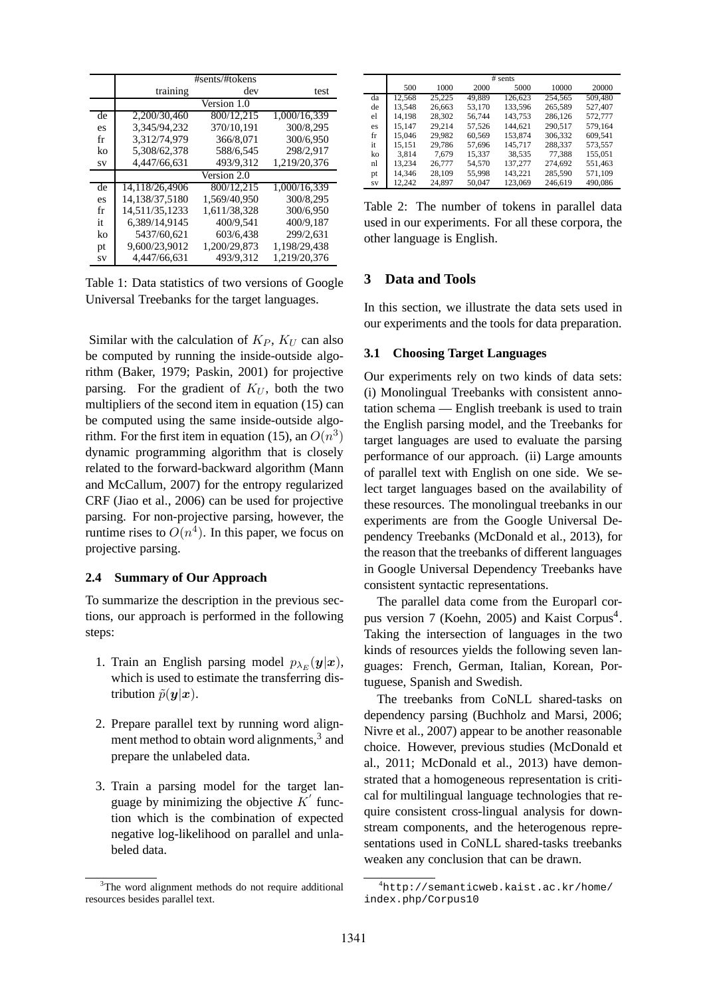|    | #sents/#tokens |                             |                           |
|----|----------------|-----------------------------|---------------------------|
|    | training       | dev                         | test                      |
|    |                | $\sqrt{\text{Version}}$ 1.0 |                           |
| de | 2,200/30,460   | 800/12.215                  | 1,000/16,339              |
| es | 3.345/94,232   | 370/10.191                  | 300/8.295                 |
| fr | 3.312/74.979   | 366/8.071                   | 300/6.950                 |
| ko | 5.308/62.378   | 588/6.545                   | 298/2.917                 |
| SV | 4,447/66,631   | 493/9.312                   | 1,219/20,376              |
|    |                | Version 2.0                 |                           |
| de | 14,118/26,4906 | 800/12.215                  | $\overline{1,000}/16,339$ |
| es | 14.138/37.5180 | 1.569/40.950                | 300/8.295                 |
| fr | 14.511/35.1233 | 1.611/38.328                | 300/6.950                 |
| it | 6.389/14.9145  | 400/9.541                   | 400/9.187                 |
| ko | 5437/60,621    | 603/6,438                   | 299/2.631                 |
| pt | 9,600/23,9012  | 1.200/29.873                | 1.198/29.438              |
| SV | 4.447/66.631   | 493/9.312                   | 1.219/20.376              |

Table 1: Data statistics of two versions of Google Universal Treebanks for the target languages.

Similar with the calculation of  $K_P$ ,  $K_U$  can also be computed by running the inside-outside algorithm (Baker, 1979; Paskin, 2001) for projective parsing. For the gradient of  $K_U$ , both the two multipliers of the second item in equation (15) can be computed using the same inside-outside algorithm. For the first item in equation (15), an  $O(n^3)$ dynamic programming algorithm that is closely related to the forward-backward algorithm (Mann and McCallum, 2007) for the entropy regularized CRF (Jiao et al., 2006) can be used for projective parsing. For non-projective parsing, however, the runtime rises to  $O(n^4)$ . In this paper, we focus on projective parsing.

#### 2.4 Summary of Our Approach

To summarize the description in the previous sections, our approach is performed in the following steps:

- 1. Train an English parsing model  $p_{\lambda_E}(\mathbf{y}|\mathbf{x}),$ which is used to estimate the transferring distribution  $\tilde{p}(\boldsymbol{y}|\boldsymbol{x})$ .
- 2. Prepare parallel text by running word alignment method to obtain word alignments,<sup>3</sup> and prepare the unlabeled data.
- 3. Train a parsing model for the target language by minimizing the objective  $K'$  function which is the combination of expected negative log-likelihood on parallel and unlabeled data.

|    | # sents |        |        |         |         |         |  |  |  |  |  |
|----|---------|--------|--------|---------|---------|---------|--|--|--|--|--|
|    | 500     | 1000   | 2000   | 5000    | 10000   | 20000   |  |  |  |  |  |
| da | 12.568  | 25,225 | 49.889 | 126.623 | 254,565 | 509,480 |  |  |  |  |  |
| de | 13.548  | 26,663 | 53.170 | 133.596 | 265.589 | 527,407 |  |  |  |  |  |
| el | 14.198  | 28,302 | 56.744 | 143.753 | 286.126 | 572,777 |  |  |  |  |  |
| es | 15.147  | 29.214 | 57.526 | 144.621 | 290.517 | 579.164 |  |  |  |  |  |
| fr | 15,046  | 29.982 | 60.569 | 153.874 | 306.332 | 609.541 |  |  |  |  |  |
| it | 15,151  | 29,786 | 57.696 | 145.717 | 288,337 | 573,557 |  |  |  |  |  |
| ko | 3.814   | 7.679  | 15.337 | 38.535  | 77.388  | 155.051 |  |  |  |  |  |
| nl | 13.234  | 26,777 | 54.570 | 137,277 | 274.692 | 551.463 |  |  |  |  |  |
| pt | 14.346  | 28.109 | 55,998 | 143.221 | 285,590 | 571,109 |  |  |  |  |  |
| SV | 12.242  | 24.897 | 50,047 | 123,069 | 246.619 | 490,086 |  |  |  |  |  |

Table 2: The number of tokens in parallel data used in our experiments. For all these corpora, the other language is English.

#### 3 **Data and Tools**

In this section, we illustrate the data sets used in our experiments and the tools for data preparation.

#### $3.1$ **Choosing Target Languages**

Our experiments rely on two kinds of data sets: (i) Monolingual Treebanks with consistent annotation schema — English treebank is used to train the English parsing model, and the Treebanks for target languages are used to evaluate the parsing performance of our approach. (ii) Large amounts of parallel text with English on one side. We select target languages based on the availability of these resources. The monolingual treebanks in our experiments are from the Google Universal Dependency Treebanks (McDonald et al., 2013), for the reason that the treebanks of different languages in Google Universal Dependency Treebanks have consistent syntactic representations.

The parallel data come from the Europarl corpus version 7 (Koehn, 2005) and Kaist Corpus<sup>4</sup>. Taking the intersection of languages in the two kinds of resources yields the following seven languages: French, German, Italian, Korean, Portuguese, Spanish and Swedish.

The treebanks from CoNLL shared-tasks on dependency parsing (Buchholz and Marsi, 2006; Nivre et al., 2007) appear to be another reasonable choice. However, previous studies (McDonald et al., 2011; McDonald et al., 2013) have demonstrated that a homogeneous representation is critical for multilingual language technologies that require consistent cross-lingual analysis for downstream components, and the heterogenous representations used in CoNLL shared-tasks treebanks weaken any conclusion that can be drawn.

<sup>&</sup>lt;sup>3</sup>The word alignment methods do not require additional resources besides parallel text.

 ${}^{4}$ http://semanticweb.kaist.ac.kr/home/ index.php/Corpus10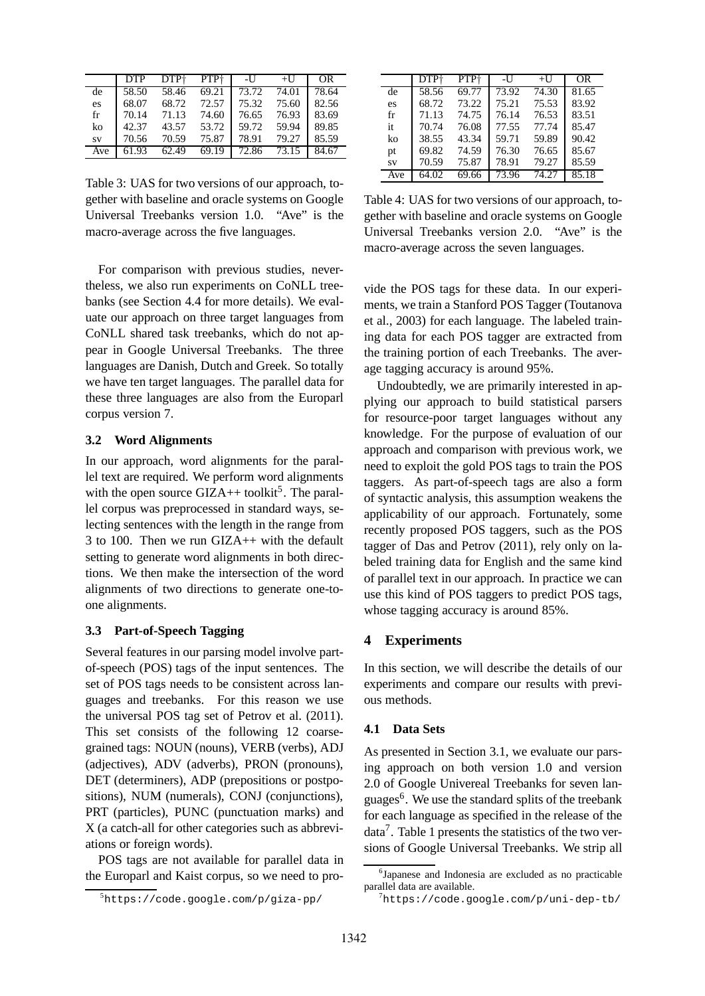|           | DTP   | DTP+  | PTP†  | -U    | $+U$  | OR    |
|-----------|-------|-------|-------|-------|-------|-------|
| de        | 58.50 | 58.46 | 69.21 | 73.72 | 74.01 | 78.64 |
| es        | 68.07 | 68.72 | 72.57 | 75.32 | 75.60 | 82.56 |
| fr        | 70.14 | 71.13 | 74.60 | 76.65 | 76.93 | 83.69 |
| ko        | 42.37 | 43.57 | 53.72 | 59.72 | 59.94 | 89.85 |
| <b>SV</b> | 70.56 | 70.59 | 75.87 | 78.91 | 79.27 | 85.59 |
| Ave       | 61.93 | 62.49 | 69.19 | 72.86 | 73.15 | 84.67 |

Table 3: UAS for two versions of our approach, together with baseline and oracle systems on Google Universal Treebanks version 1.0. "Ave" is the macro-average across the five languages.

For comparison with previous studies, nevertheless, we also run experiments on CoNLL treebanks (see Section 4.4 for more details). We evaluate our approach on three target languages from CoNLL shared task treebanks, which do not appear in Google Universal Treebanks. The three languages are Danish, Dutch and Greek. So totally we have ten target languages. The parallel data for these three languages are also from the Europarl corpus version 7.

#### **3.2 Word Alignments**

In our approach, word alignments for the parallel text are required. We perform word alignments with the open source  $\text{GIZA++}$  toolkit<sup>5</sup>. The parallel corpus was preprocessed in standard ways, selecting sentences with the length in the range from 3 to 100. Then we run GIZA++ with the default setting to generate word alignments in both directions. We then make the intersection of the word alignments of two directions to generate one-toone alignments.

## **3.3 Part-of-Speech Tagging**

Several features in our parsing model involve partof-speech (POS) tags of the input sentences. The set of POS tags needs to be consistent across languages and treebanks. For this reason we use the universal POS tag set of Petrov et al. (2011). This set consists of the following 12 coarsegrained tags: NOUN (nouns), VERB (verbs), ADJ (adjectives), ADV (adverbs), PRON (pronouns), DET (determiners), ADP (prepositions or postpositions), NUM (numerals), CONJ (conjunctions), PRT (particles), PUNC (punctuation marks) and X (a catch-all for other categories such as abbreviations or foreign words).

POS tags are not available for parallel data in the Europarl and Kaist corpus, so we need to pro-

|           | DTP†               | PTP <sup>+</sup> | -U    | $+U$  | OR.   |
|-----------|--------------------|------------------|-------|-------|-------|
| de        | $58.\overline{56}$ | 69.77            | 73.92 | 74.30 | 81.65 |
| es        | 68.72              | 73.22            | 75.21 | 75.53 | 83.92 |
| fr        | 71.13              | 74.75            | 76.14 | 76.53 | 83.51 |
| it        | 70.74              | 76.08            | 77.55 | 77.74 | 85.47 |
| ko        | 38.55              | 43.34            | 59.71 | 59.89 | 90.42 |
| pt        | 69.82              | 74.59            | 76.30 | 76.65 | 85.67 |
| <b>SV</b> | 70.59              | 75.87            | 78.91 | 79.27 | 85.59 |
| Ave       | 64.02              | 69.66            | 73.96 | 74.27 | 85.18 |

Table 4: UAS for two versions of our approach, together with baseline and oracle systems on Google Universal Treebanks version 2.0. "Ave" is the macro-average across the seven languages.

vide the POS tags for these data. In our experiments, we train a Stanford POS Tagger (Toutanova et al., 2003) for each language. The labeled training data for each POS tagger are extracted from the training portion of each Treebanks. The average tagging accuracy is around 95%.

Undoubtedly, we are primarily interested in applying our approach to build statistical parsers for resource-poor target languages without any knowledge. For the purpose of evaluation of our approach and comparison with previous work, we need to exploit the gold POS tags to train the POS taggers. As part-of-speech tags are also a form of syntactic analysis, this assumption weakens the applicability of our approach. Fortunately, some recently proposed POS taggers, such as the POS tagger of Das and Petrov (2011), rely only on labeled training data for English and the same kind of parallel text in our approach. In practice we can use this kind of POS taggers to predict POS tags, whose tagging accuracy is around 85%.

## **4 Experiments**

In this section, we will describe the details of our experiments and compare our results with previous methods.

#### **4.1 Data Sets**

As presented in Section 3.1, we evaluate our parsing approach on both version 1.0 and version 2.0 of Google Univereal Treebanks for seven languages<sup>6</sup>. We use the standard splits of the treebank for each language as specified in the release of the data<sup>7</sup>. Table 1 presents the statistics of the two versions of Google Universal Treebanks. We strip all

<sup>5</sup>https://code.google.com/p/giza-pp/

<sup>6</sup> Japanese and Indonesia are excluded as no practicable parallel data are available.

 $7$ https://code.google.com/p/uni-dep-tb/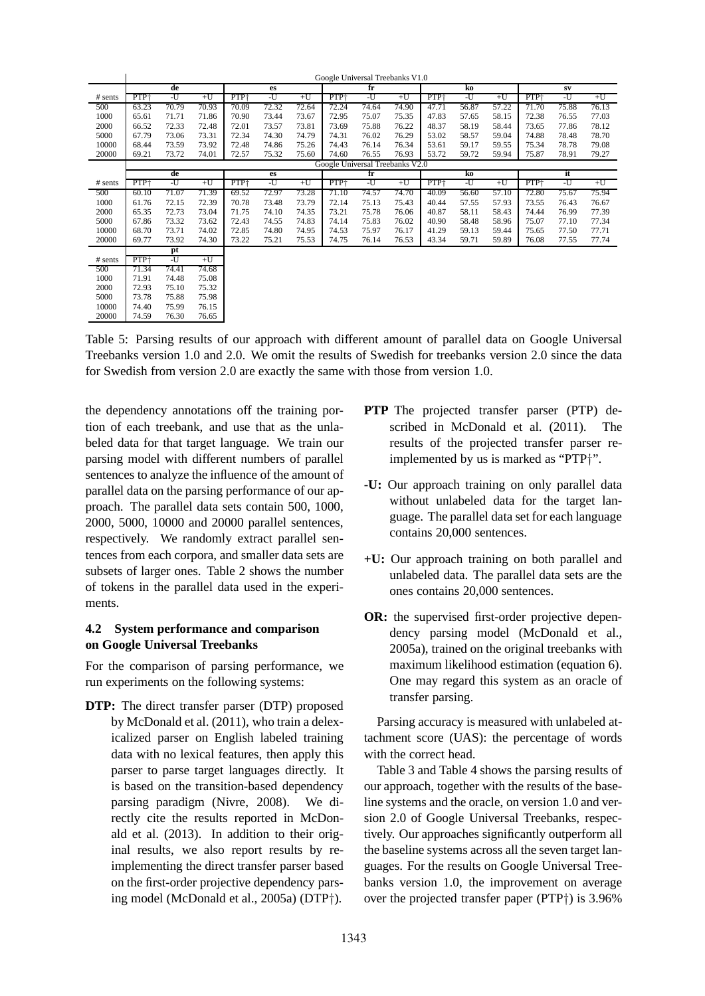|           |                  | Google Universal Treebanks V1.0 |       |       |                                 |       |                  |             |       |                  |       |       |       |            |       |  |
|-----------|------------------|---------------------------------|-------|-------|---------------------------------|-------|------------------|-------------|-------|------------------|-------|-------|-------|------------|-------|--|
|           |                  | de                              |       |       | es                              |       |                  | $f_{\rm r}$ |       |                  | ko    |       |       | ${\bf SV}$ |       |  |
| $#$ sents | PTP <sup>+</sup> | -U                              | $+U$  | PTP+  | -U                              | $+U$  | PTP+             | -U          | $+U$  | PTP <sup>+</sup> | -U    | $+U$  | PTP+  | -U         | $+U$  |  |
| 500       | 63.23            | 70.79                           | 70.93 | 70.09 | 72.32                           | 72.64 | 72.24            | 74.64       | 74.90 | 47.71            | 56.87 | 57.22 | 71.70 | 75.88      | 76.13 |  |
| 1000      | 65.61            | 71.71                           | 71.86 | 70.90 | 73.44                           | 73.67 | 72.95            | 75.07       | 75.35 | 47.83            | 57.65 | 58.15 | 72.38 | 76.55      | 77.03 |  |
| 2000      | 66.52            | 72.33                           | 72.48 | 72.01 | 73.57                           | 73.81 | 73.69            | 75.88       | 76.22 | 48.37            | 58.19 | 58.44 | 73.65 | 77.86      | 78.12 |  |
| 5000      | 67.79            | 73.06                           | 73.31 | 72.34 | 74.30                           | 74.79 | 74.31            | 76.02       | 76.29 | 53.02            | 58.57 | 59.04 | 74.88 | 78.48      | 78.70 |  |
| 10000     | 68.44            | 73.59                           | 73.92 | 72.48 | 74.86                           | 75.26 | 74.43            | 76.14       | 76.34 | 53.61            | 59.17 | 59.55 | 75.34 | 78.78      | 79.08 |  |
| 20000     | 69.21            | 73.72                           | 74.01 | 72.57 | 75.32                           | 75.60 | 74.60            | 76.55       | 76.93 | 53.72            | 59.72 | 59.94 | 75.87 | 78.91      | 79.27 |  |
|           |                  |                                 |       |       | Google Universal Treebanks V2.0 |       |                  |             |       |                  |       |       |       |            |       |  |
|           |                  | de                              |       |       | es                              |       |                  | fr          |       |                  | ko    |       |       | it         |       |  |
| $#$ sents | PTP+             | -U                              | $+U$  | PTP+  | -U                              | $+U$  | PTP <sup>+</sup> | -U          | $+U$  | PTP+             | -U    | $+U$  | PTP+  | -U         | $+U$  |  |
| 500       | 60.10            | 71.07                           | 71.39 | 69.52 | 72.97                           | 73.28 | 71.10            | 74.57       | 74.70 | 40.09            | 56.60 | 57.10 | 72.80 | 75.67      | 75.94 |  |
| 1000      | 61.76            | 72.15                           | 72.39 | 70.78 | 73.48                           | 73.79 | 72.14            | 75.13       | 75.43 | 40.44            | 57.55 | 57.93 | 73.55 | 76.43      | 76.67 |  |
| 2000      | 65.35            | 72.73                           | 73.04 | 71.75 | 74.10                           | 74.35 | 73.21            | 75.78       | 76.06 | 40.87            | 58.11 | 58.43 | 74.44 | 76.99      | 77.39 |  |
| 5000      | 67.86            | 73.32                           | 73.62 | 72.43 | 74.55                           | 74.83 | 74.14            | 75.83       | 76.02 | 40.90            | 58.48 | 58.96 | 75.07 | 77.10      | 77.34 |  |
| 10000     | 68.70            | 73.71                           | 74.02 | 72.85 | 74.80                           | 74.95 | 74.53            | 75.97       | 76.17 | 41.29            | 59.13 | 59.44 | 75.65 | 77.50      | 77.71 |  |
| 20000     | 69.77            | 73.92                           | 74.30 | 73.22 | 75.21                           | 75.53 | 74.75            | 76.14       | 76.53 | 43.34            | 59.71 | 59.89 | 76.08 | 77.55      | 77.74 |  |
|           |                  | pt                              |       |       |                                 |       |                  |             |       |                  |       |       |       |            |       |  |
| $#$ sents | PTP <sup>+</sup> | -U                              | $+U$  |       |                                 |       |                  |             |       |                  |       |       |       |            |       |  |
| 500       | 71.34            | 74.41                           | 74.68 |       |                                 |       |                  |             |       |                  |       |       |       |            |       |  |
| 1000      | 71.91            | 74.48                           | 75.08 |       |                                 |       |                  |             |       |                  |       |       |       |            |       |  |
| 2000      | 72.93            | 75.10                           | 75.32 |       |                                 |       |                  |             |       |                  |       |       |       |            |       |  |
| 5000      | 73.78            | 75.88                           | 75.98 |       |                                 |       |                  |             |       |                  |       |       |       |            |       |  |
| 10000     | 74.40            | 75.99                           | 76.15 |       |                                 |       |                  |             |       |                  |       |       |       |            |       |  |
| 20000     | 74.59            | 76.30                           | 76.65 |       |                                 |       |                  |             |       |                  |       |       |       |            |       |  |
|           |                  |                                 |       |       |                                 |       |                  |             |       |                  |       |       |       |            |       |  |

Table 5: Parsing results of our approach with different amount of parallel data on Google Universal Treebanks version 1.0 and 2.0. We omit the results of Swedish for treebanks version 2.0 since the data for Swedish from version 2.0 are exactly the same with those from version 1.0.

the dependency annotations off the training portion of each treebank, and use that as the unlabeled data for that target language. We train our parsing model with different numbers of parallel sentences to analyze the influence of the amount of parallel data on the parsing performance of our approach. The parallel data sets contain 500, 1000, 2000, 5000, 10000 and 20000 parallel sentences, respectively. We randomly extract parallel sentences from each corpora, and smaller data sets are subsets of larger ones. Table 2 shows the number of tokens in the parallel data used in the experiments.

## **4.2 System performance and comparison on Google Universal Treebanks**

For the comparison of parsing performance, we run experiments on the following systems:

**DTP:** The direct transfer parser (DTP) proposed by McDonald et al. (2011), who train a delexicalized parser on English labeled training data with no lexical features, then apply this parser to parse target languages directly. It is based on the transition-based dependency parsing paradigm (Nivre, 2008). We directly cite the results reported in McDonald et al. (2013). In addition to their original results, we also report results by reimplementing the direct transfer parser based on the first-order projective dependency parsing model (McDonald et al., 2005a) (DTP†).

- **PTP** The projected transfer parser (PTP) described in McDonald et al. (2011). The results of the projected transfer parser reimplemented by us is marked as "PTP†".
- **-U:** Our approach training on only parallel data without unlabeled data for the target language. The parallel data set for each language contains 20,000 sentences.
- **+U:** Our approach training on both parallel and unlabeled data. The parallel data sets are the ones contains 20,000 sentences.
- **OR:** the supervised first-order projective dependency parsing model (McDonald et al., 2005a), trained on the original treebanks with maximum likelihood estimation (equation 6). One may regard this system as an oracle of transfer parsing.

Parsing accuracy is measured with unlabeled attachment score (UAS): the percentage of words with the correct head.

Table 3 and Table 4 shows the parsing results of our approach, together with the results of the baseline systems and the oracle, on version 1.0 and version 2.0 of Google Universal Treebanks, respectively. Our approaches significantly outperform all the baseline systems across all the seven target languages. For the results on Google Universal Treebanks version 1.0, the improvement on average over the projected transfer paper (PTP†) is 3.96%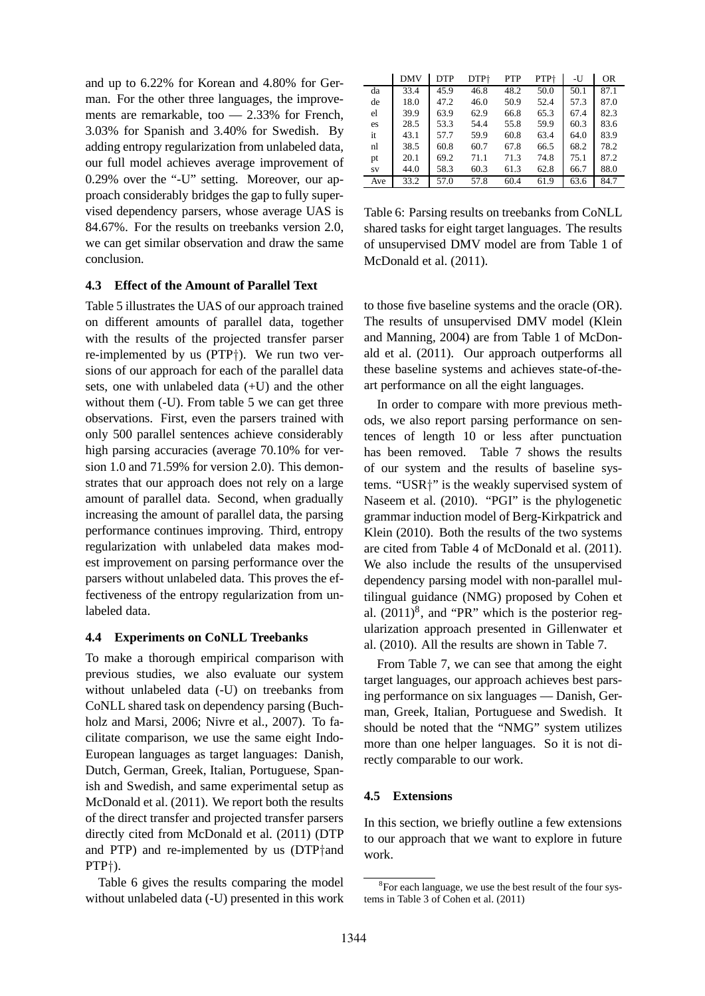and up to 6.22% for Korean and 4.80% for German. For the other three languages, the improvements are remarkable, too — 2.33% for French, 3.03% for Spanish and 3.40% for Swedish. By adding entropy regularization from unlabeled data, our full model achieves average improvement of 0.29% over the "-U" setting. Moreover, our approach considerably bridges the gap to fully supervised dependency parsers, whose average UAS is 84.67%. For the results on treebanks version 2.0, we can get similar observation and draw the same conclusion.

#### **4.3 Effect of the Amount of Parallel Text**

Table 5 illustrates the UAS of our approach trained on different amounts of parallel data, together with the results of the projected transfer parser re-implemented by us (PTP†). We run two versions of our approach for each of the parallel data sets, one with unlabeled data (+U) and the other without them  $(-U)$ . From table 5 we can get three observations. First, even the parsers trained with only 500 parallel sentences achieve considerably high parsing accuracies (average 70.10% for version 1.0 and 71.59% for version 2.0). This demonstrates that our approach does not rely on a large amount of parallel data. Second, when gradually increasing the amount of parallel data, the parsing performance continues improving. Third, entropy regularization with unlabeled data makes modest improvement on parsing performance over the parsers without unlabeled data. This proves the effectiveness of the entropy regularization from unlabeled data.

#### **4.4 Experiments on CoNLL Treebanks**

To make a thorough empirical comparison with previous studies, we also evaluate our system without unlabeled data (-U) on treebanks from CoNLL shared task on dependency parsing (Buchholz and Marsi, 2006; Nivre et al., 2007). To facilitate comparison, we use the same eight Indo-European languages as target languages: Danish, Dutch, German, Greek, Italian, Portuguese, Spanish and Swedish, and same experimental setup as McDonald et al. (2011). We report both the results of the direct transfer and projected transfer parsers directly cited from McDonald et al. (2011) (DTP and PTP) and re-implemented by us (DTP†and PTP†).

Table 6 gives the results comparing the model without unlabeled data (-U) presented in this work

|     | <b>DMV</b> | <b>DTP</b> | DTP+ | <b>PTP</b> | PTP+ | -U   | <b>OR</b> |
|-----|------------|------------|------|------------|------|------|-----------|
| da  | 33.4       | 45.9       | 46.8 | 48.2       | 50.0 | 50.1 | 87.1      |
| de  | 18.0       | 47.2       | 46.0 | 50.9       | 52.4 | 57.3 | 87.0      |
| el  | 39.9       | 63.9       | 62.9 | 66.8       | 65.3 | 67.4 | 82.3      |
| es  | 28.5       | 53.3       | 54.4 | 55.8       | 59.9 | 60.3 | 83.6      |
| it  | 43.1       | 57.7       | 59.9 | 60.8       | 63.4 | 64.0 | 83.9      |
| nl  | 38.5       | 60.8       | 60.7 | 67.8       | 66.5 | 68.2 | 78.2      |
| pt  | 20.1       | 69.2       | 71.1 | 71.3       | 74.8 | 75.1 | 87.2      |
| SV  | 44.0       | 58.3       | 60.3 | 61.3       | 62.8 | 66.7 | 88.0      |
| Ave | 33.2       | 57.0       | 57.8 | 60.4       | 61.9 | 63.6 | 84.7      |

Table 6: Parsing results on treebanks from CoNLL shared tasks for eight target languages. The results of unsupervised DMV model are from Table 1 of McDonald et al. (2011).

to those five baseline systems and the oracle (OR). The results of unsupervised DMV model (Klein and Manning, 2004) are from Table 1 of McDonald et al. (2011). Our approach outperforms all these baseline systems and achieves state-of-theart performance on all the eight languages.

In order to compare with more previous methods, we also report parsing performance on sentences of length 10 or less after punctuation has been removed. Table 7 shows the results of our system and the results of baseline systems. "USR†" is the weakly supervised system of Naseem et al. (2010). "PGI" is the phylogenetic grammar induction model of Berg-Kirkpatrick and Klein (2010). Both the results of the two systems are cited from Table 4 of McDonald et al. (2011). We also include the results of the unsupervised dependency parsing model with non-parallel multilingual guidance (NMG) proposed by Cohen et al.  $(2011)^8$ , and "PR" which is the posterior regularization approach presented in Gillenwater et al. (2010). All the results are shown in Table 7.

From Table 7, we can see that among the eight target languages, our approach achieves best parsing performance on six languages — Danish, German, Greek, Italian, Portuguese and Swedish. It should be noted that the "NMG" system utilizes more than one helper languages. So it is not directly comparable to our work.

## **4.5 Extensions**

In this section, we briefly outline a few extensions to our approach that we want to explore in future work.

<sup>&</sup>lt;sup>8</sup>For each language, we use the best result of the four systems in Table 3 of Cohen et al. (2011)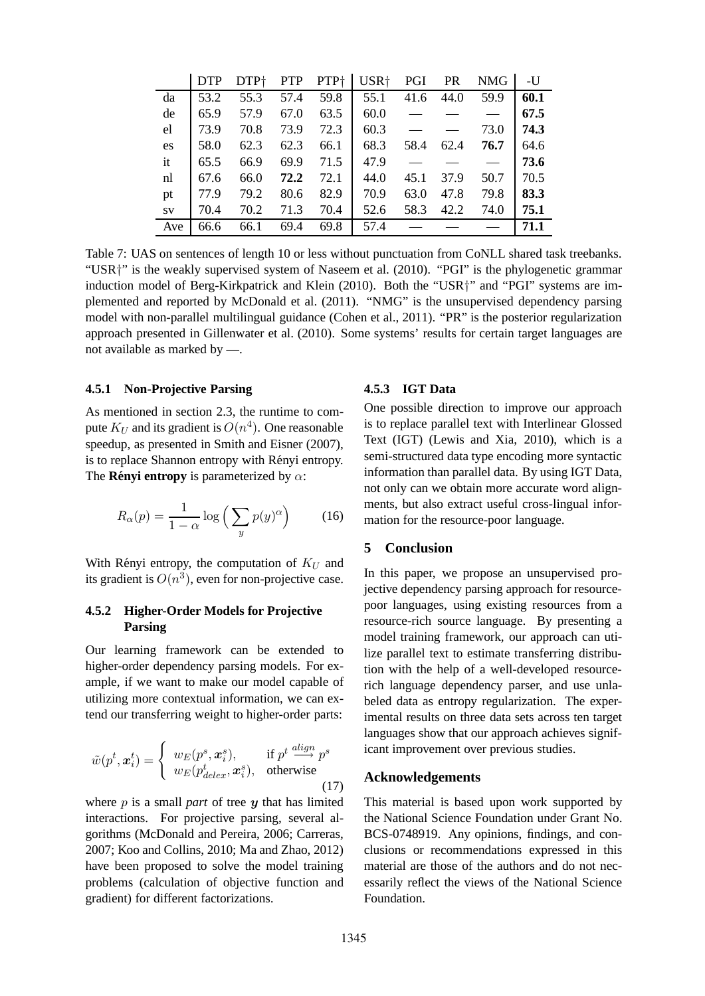|     | <b>DTP</b> | DTP <sup>+</sup> | <b>PTP</b> | PTP <sup>+</sup> | USR <sup>+</sup> | PGI  | <b>PR</b> | <b>NMG</b> | -U   |
|-----|------------|------------------|------------|------------------|------------------|------|-----------|------------|------|
| da  | 53.2       | 55.3             | 57.4       | 59.8             | 55.1             | 41.6 | 44.0      | 59.9       | 60.1 |
| de  | 65.9       | 57.9             | 67.0       | 63.5             | 60.0             |      |           |            | 67.5 |
| el  | 73.9       | 70.8             | 73.9       | 72.3             | 60.3             |      |           | 73.0       | 74.3 |
| es  | 58.0       | 62.3             | 62.3       | 66.1             | 68.3             | 58.4 | 62.4      | 76.7       | 64.6 |
| it  | 65.5       | 66.9             | 69.9       | 71.5             | 47.9             |      |           |            | 73.6 |
| nl  | 67.6       | 66.0             | 72.2       | 72.1             | 44.0             | 45.1 | 37.9      | 50.7       | 70.5 |
| pt  | 77.9       | 79.2             | 80.6       | 82.9             | 70.9             | 63.0 | 47.8      | 79.8       | 83.3 |
| SV  | 70.4       | 70.2             | 71.3       | 70.4             | 52.6             | 58.3 | 42.2      | 74.0       | 75.1 |
| Ave | 66.6       | 66.1             | 69.4       | 69.8             | 57.4             |      |           |            | 71.1 |

Table 7: UAS on sentences of length 10 or less without punctuation from CoNLL shared task treebanks. "USR<sup>+</sup>" is the weakly supervised system of Naseem et al. (2010). "PGI" is the phylogenetic grammar induction model of Berg-Kirkpatrick and Klein (2010). Both the "USR<sup>+</sup>" and "PGI" systems are implemented and reported by McDonald et al. (2011). "NMG" is the unsupervised dependency parsing model with non-parallel multilingual guidance (Cohen et al., 2011). "PR" is the posterior regularization approach presented in Gillenwater et al. (2010). Some systems' results for certain target languages are not available as marked by -..

#### 4.5.1 Non-Projective Parsing

As mentioned in section 2.3, the runtime to compute  $K_U$  and its gradient is  $O(n^4)$ . One reasonable speedup, as presented in Smith and Eisner (2007), is to replace Shannon entropy with Rényi entropy. The **Rényi entropy** is parameterized by  $\alpha$ :

$$
R_{\alpha}(p) = \frac{1}{1 - \alpha} \log \left( \sum_{y} p(y)^{\alpha} \right) \tag{16}
$$

With Rényi entropy, the computation of  $K_U$  and its gradient is  $O(n^3)$ , even for non-projective case.

#### $4.5.2$ **Higher-Order Models for Projective Parsing**

Our learning framework can be extended to higher-order dependency parsing models. For example, if we want to make our model capable of utilizing more contextual information, we can extend our transferring weight to higher-order parts:

$$
\tilde{w}(p^t, \mathbf{x}_i^t) = \begin{cases} w_E(p^s, \mathbf{x}_i^s), & \text{if } p^t \stackrel{align}{\longrightarrow} p^s \\ w_E(p_{delete}^t, \mathbf{x}_i^s), & \text{otherwise} \end{cases}
$$
\n(17)

where  $p$  is a small *part* of tree  $y$  that has limited interactions. For projective parsing, several algorithms (McDonald and Pereira, 2006; Carreras, 2007: Koo and Collins, 2010: Ma and Zhao, 2012) have been proposed to solve the model training problems (calculation of objective function and gradient) for different factorizations.

#### 4.5.3 IGT Data

One possible direction to improve our approach is to replace parallel text with Interlinear Glossed Text (IGT) (Lewis and Xia, 2010), which is a semi-structured data type encoding more syntactic information than parallel data. By using IGT Data, not only can we obtain more accurate word alignments, but also extract useful cross-lingual information for the resource-poor language.

#### 5 **Conclusion**

In this paper, we propose an unsupervised projective dependency parsing approach for resourcepoor languages, using existing resources from a resource-rich source language. By presenting a model training framework, our approach can utilize parallel text to estimate transferring distribution with the help of a well-developed resourcerich language dependency parser, and use unlabeled data as entropy regularization. The experimental results on three data sets across ten target languages show that our approach achieves significant improvement over previous studies.

#### **Acknowledgements**

This material is based upon work supported by the National Science Foundation under Grant No. BCS-0748919. Any opinions, findings, and conclusions or recommendations expressed in this material are those of the authors and do not necessarily reflect the views of the National Science Foundation.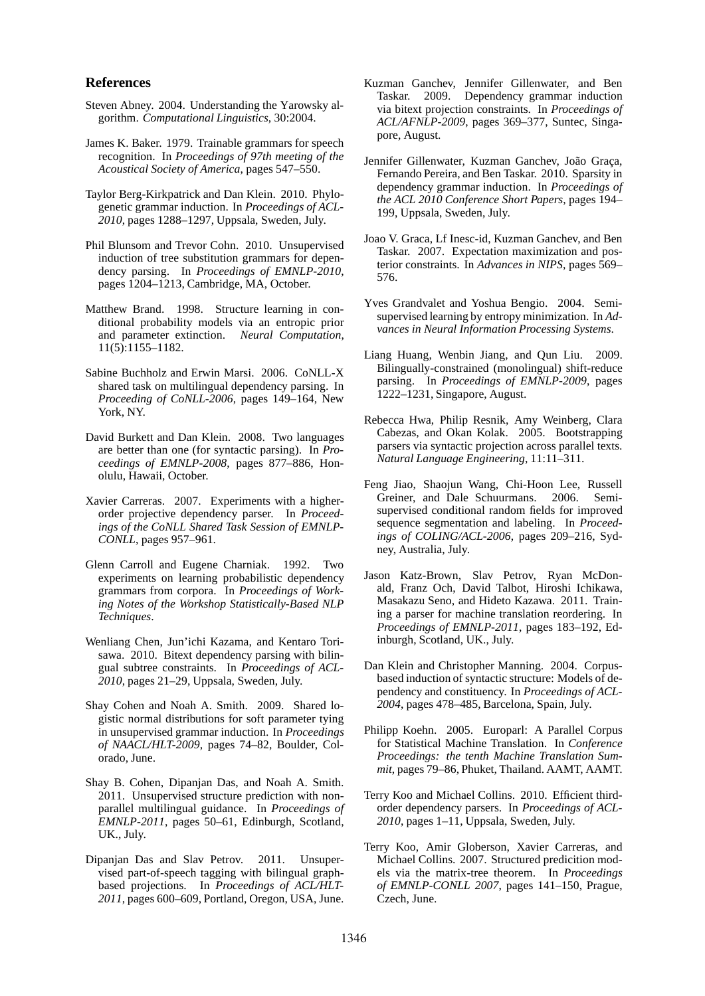#### **References**

- Steven Abney. 2004. Understanding the Yarowsky algorithm. *Computational Linguistics*, 30:2004.
- James K. Baker. 1979. Trainable grammars for speech recognition. In *Proceedings of 97th meeting of the Acoustical Society of America*, pages 547–550.
- Taylor Berg-Kirkpatrick and Dan Klein. 2010. Phylogenetic grammar induction. In *Proceedings of ACL-2010*, pages 1288–1297, Uppsala, Sweden, July.
- Phil Blunsom and Trevor Cohn. 2010. Unsupervised induction of tree substitution grammars for dependency parsing. In *Proceedings of EMNLP-2010*, pages 1204–1213, Cambridge, MA, October.
- Matthew Brand. 1998. Structure learning in conditional probability models via an entropic prior and parameter extinction. *Neural Computation*, 11(5):1155–1182.
- Sabine Buchholz and Erwin Marsi. 2006. CoNLL-X shared task on multilingual dependency parsing. In *Proceeding of CoNLL-2006*, pages 149–164, New York, NY.
- David Burkett and Dan Klein. 2008. Two languages are better than one (for syntactic parsing). In *Proceedings of EMNLP-2008*, pages 877–886, Honolulu, Hawaii, October.
- Xavier Carreras. 2007. Experiments with a higherorder projective dependency parser. In *Proceedings of the CoNLL Shared Task Session of EMNLP-CONLL*, pages 957–961.
- Glenn Carroll and Eugene Charniak. 1992. Two experiments on learning probabilistic dependency grammars from corpora. In *Proceedings of Working Notes of the Workshop Statistically-Based NLP Techniques*.
- Wenliang Chen, Jun'ichi Kazama, and Kentaro Torisawa. 2010. Bitext dependency parsing with bilingual subtree constraints. In *Proceedings of ACL-2010*, pages 21–29, Uppsala, Sweden, July.
- Shay Cohen and Noah A. Smith. 2009. Shared logistic normal distributions for soft parameter tying in unsupervised grammar induction. In *Proceedings of NAACL/HLT-2009*, pages 74–82, Boulder, Colorado, June.
- Shay B. Cohen, Dipanjan Das, and Noah A. Smith. 2011. Unsupervised structure prediction with nonparallel multilingual guidance. In *Proceedings of EMNLP-2011*, pages 50–61, Edinburgh, Scotland, UK., July.
- Dipanjan Das and Slav Petrov. 2011. Unsupervised part-of-speech tagging with bilingual graphbased projections. In *Proceedings of ACL/HLT-2011*, pages 600–609, Portland, Oregon, USA, June.
- Kuzman Ganchev, Jennifer Gillenwater, and Ben Taskar. 2009. Dependency grammar induction via bitext projection constraints. In *Proceedings of ACL/AFNLP-2009*, pages 369–377, Suntec, Singapore, August.
- Jennifer Gillenwater, Kuzman Ganchev, João Graça, Fernando Pereira, and Ben Taskar. 2010. Sparsity in dependency grammar induction. In *Proceedings of the ACL 2010 Conference Short Papers*, pages 194– 199, Uppsala, Sweden, July.
- Joao V. Graca, Lf Inesc-id, Kuzman Ganchev, and Ben Taskar. 2007. Expectation maximization and posterior constraints. In *Advances in NIPS*, pages 569– 576.
- Yves Grandvalet and Yoshua Bengio. 2004. Semisupervised learning by entropy minimization. In *Advances in Neural Information Processing Systems*.
- Liang Huang, Wenbin Jiang, and Qun Liu. 2009. Bilingually-constrained (monolingual) shift-reduce parsing. In *Proceedings of EMNLP-2009*, pages 1222–1231, Singapore, August.
- Rebecca Hwa, Philip Resnik, Amy Weinberg, Clara Cabezas, and Okan Kolak. 2005. Bootstrapping parsers via syntactic projection across parallel texts. *Natural Language Engineering*, 11:11–311.
- Feng Jiao, Shaojun Wang, Chi-Hoon Lee, Russell Greiner, and Dale Schuurmans. 2006. Semisupervised conditional random fields for improved sequence segmentation and labeling. In *Proceedings of COLING/ACL-2006*, pages 209–216, Sydney, Australia, July.
- Jason Katz-Brown, Slav Petrov, Ryan McDonald, Franz Och, David Talbot, Hiroshi Ichikawa, Masakazu Seno, and Hideto Kazawa. 2011. Training a parser for machine translation reordering. In *Proceedings of EMNLP-2011*, pages 183–192, Edinburgh, Scotland, UK., July.
- Dan Klein and Christopher Manning. 2004. Corpusbased induction of syntactic structure: Models of dependency and constituency. In *Proceedings of ACL-2004*, pages 478–485, Barcelona, Spain, July.
- Philipp Koehn. 2005. Europarl: A Parallel Corpus for Statistical Machine Translation. In *Conference Proceedings: the tenth Machine Translation Summit*, pages 79–86, Phuket, Thailand. AAMT, AAMT.
- Terry Koo and Michael Collins. 2010. Efficient thirdorder dependency parsers. In *Proceedings of ACL-2010*, pages 1–11, Uppsala, Sweden, July.
- Terry Koo, Amir Globerson, Xavier Carreras, and Michael Collins. 2007. Structured predicition models via the matrix-tree theorem. In *Proceedings of EMNLP-CONLL 2007*, pages 141–150, Prague, Czech, June.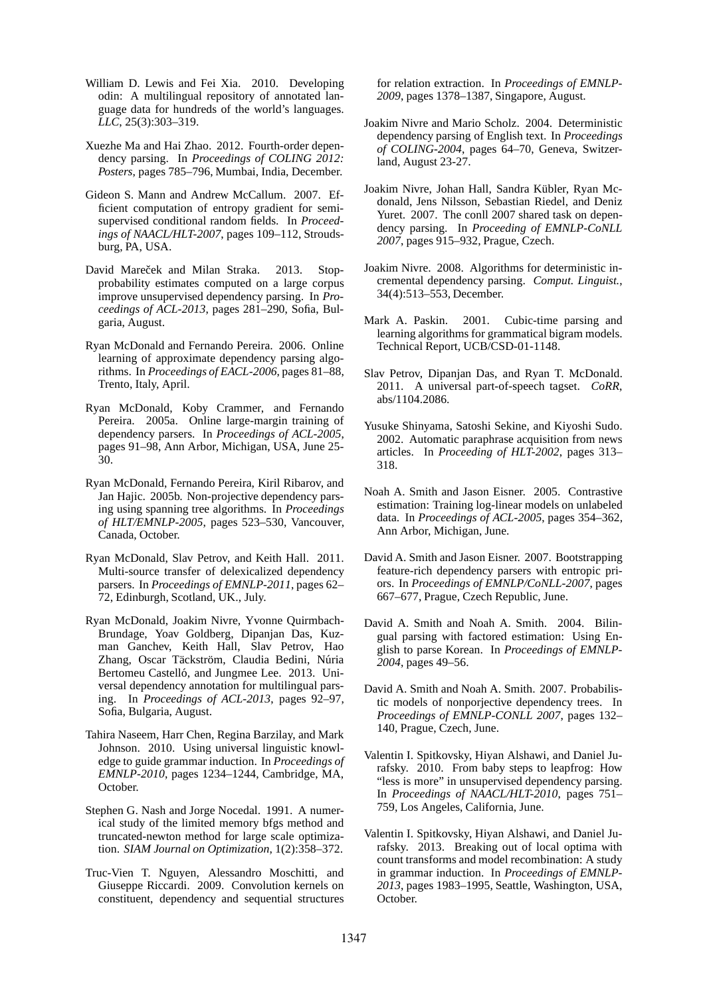- William D. Lewis and Fei Xia. 2010. Developing odin: A multilingual repository of annotated language data for hundreds of the world's languages. *LLC*, 25(3):303–319.
- Xuezhe Ma and Hai Zhao. 2012. Fourth-order dependency parsing. In *Proceedings of COLING 2012: Posters*, pages 785–796, Mumbai, India, December.
- Gideon S. Mann and Andrew McCallum. 2007. Efficient computation of entropy gradient for semisupervised conditional random fields. In *Proceedings of NAACL/HLT-2007*, pages 109–112, Stroudsburg, PA, USA.
- David Mareček and Milan Straka. 2013. Stopprobability estimates computed on a large corpus improve unsupervised dependency parsing. In *Proceedings of ACL-2013*, pages 281–290, Sofia, Bulgaria, August.
- Ryan McDonald and Fernando Pereira. 2006. Online learning of approximate dependency parsing algorithms. In *Proceedings of EACL-2006*, pages 81–88, Trento, Italy, April.
- Ryan McDonald, Koby Crammer, and Fernando Pereira. 2005a. Online large-margin training of dependency parsers. In *Proceedings of ACL-2005*, pages 91–98, Ann Arbor, Michigan, USA, June 25- 30.
- Ryan McDonald, Fernando Pereira, Kiril Ribarov, and Jan Hajic. 2005b. Non-projective dependency parsing using spanning tree algorithms. In *Proceedings of HLT/EMNLP-2005*, pages 523–530, Vancouver, Canada, October.
- Ryan McDonald, Slav Petrov, and Keith Hall. 2011. Multi-source transfer of delexicalized dependency parsers. In *Proceedings of EMNLP-2011*, pages 62– 72, Edinburgh, Scotland, UK., July.
- Ryan McDonald, Joakim Nivre, Yvonne Quirmbach-Brundage, Yoav Goldberg, Dipanjan Das, Kuzman Ganchev, Keith Hall, Slav Petrov, Hao Zhang, Oscar Täckström, Claudia Bedini, Núria Bertomeu Castelló, and Jungmee Lee. 2013. Universal dependency annotation for multilingual parsing. In *Proceedings of ACL-2013*, pages 92–97, Sofia, Bulgaria, August.
- Tahira Naseem, Harr Chen, Regina Barzilay, and Mark Johnson. 2010. Using universal linguistic knowledge to guide grammar induction. In *Proceedings of EMNLP-2010*, pages 1234–1244, Cambridge, MA, October.
- Stephen G. Nash and Jorge Nocedal. 1991. A numerical study of the limited memory bfgs method and truncated-newton method for large scale optimization. *SIAM Journal on Optimization*, 1(2):358–372.
- Truc-Vien T. Nguyen, Alessandro Moschitti, and Giuseppe Riccardi. 2009. Convolution kernels on constituent, dependency and sequential structures

for relation extraction. In *Proceedings of EMNLP-2009*, pages 1378–1387, Singapore, August.

- Joakim Nivre and Mario Scholz. 2004. Deterministic dependency parsing of English text. In *Proceedings of COLING-2004*, pages 64–70, Geneva, Switzerland, August 23-27.
- Joakim Nivre, Johan Hall, Sandra Kübler, Ryan Mcdonald, Jens Nilsson, Sebastian Riedel, and Deniz Yuret. 2007. The conll 2007 shared task on dependency parsing. In *Proceeding of EMNLP-CoNLL 2007*, pages 915–932, Prague, Czech.
- Joakim Nivre. 2008. Algorithms for deterministic incremental dependency parsing. *Comput. Linguist.*, 34(4):513–553, December.
- Mark A. Paskin. 2001. Cubic-time parsing and learning algorithms for grammatical bigram models. Technical Report, UCB/CSD-01-1148.
- Slav Petrov, Dipanjan Das, and Ryan T. McDonald. 2011. A universal part-of-speech tagset. *CoRR*, abs/1104.2086.
- Yusuke Shinyama, Satoshi Sekine, and Kiyoshi Sudo. 2002. Automatic paraphrase acquisition from news articles. In *Proceeding of HLT-2002*, pages 313– 318.
- Noah A. Smith and Jason Eisner. 2005. Contrastive estimation: Training log-linear models on unlabeled data. In *Proceedings of ACL-2005*, pages 354–362, Ann Arbor, Michigan, June.
- David A. Smith and Jason Eisner. 2007. Bootstrapping feature-rich dependency parsers with entropic priors. In *Proceedings of EMNLP/CoNLL-2007*, pages 667–677, Prague, Czech Republic, June.
- David A. Smith and Noah A. Smith. 2004. Bilingual parsing with factored estimation: Using English to parse Korean. In *Proceedings of EMNLP-2004*, pages 49–56.
- David A. Smith and Noah A. Smith. 2007. Probabilistic models of nonporjective dependency trees. In *Proceedings of EMNLP-CONLL 2007*, pages 132– 140, Prague, Czech, June.
- Valentin I. Spitkovsky, Hiyan Alshawi, and Daniel Jurafsky. 2010. From baby steps to leapfrog: How "less is more" in unsupervised dependency parsing. In *Proceedings of NAACL/HLT-2010*, pages 751– 759, Los Angeles, California, June.
- Valentin I. Spitkovsky, Hiyan Alshawi, and Daniel Jurafsky. 2013. Breaking out of local optima with count transforms and model recombination: A study in grammar induction. In *Proceedings of EMNLP-2013*, pages 1983–1995, Seattle, Washington, USA, October.